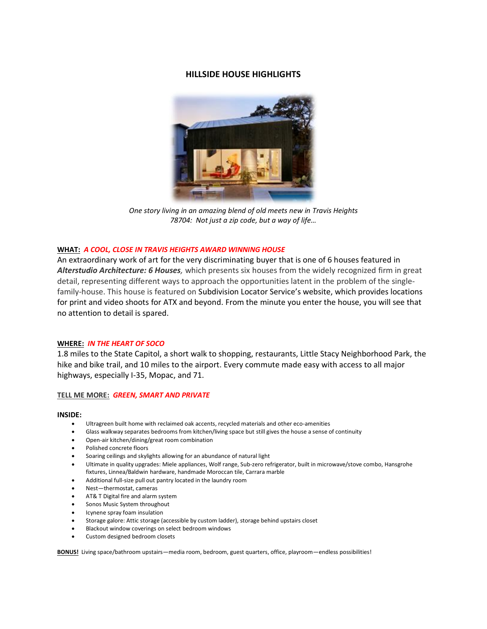# **HILLSIDE HOUSE HIGHLIGHTS**



*One story living in an amazing blend of old meets new in Travis Heights 78704: Not just a zip code, but a way of life…*

## **WHAT:** *A COOL, CLOSE IN TRAVIS HEIGHTS AWARD WINNING HOUSE*

An extraordinary work of art for the very discriminating buyer that is one of 6 houses featured in *Alterstudio Architecture: 6 Houses,* which presents six houses from the widely recognized firm in great detail, representing different ways to approach the opportunities latent in the problem of the singlefamily-house. This house is featured on Subdivision Locator Service's website, which provides locations for print and video shoots for ATX and beyond. From the minute you enter the house, you will see that no attention to detail is spared.

## **WHERE:** *IN THE HEART OF SOCO*

1.8 miles to the State Capitol, a short walk to shopping, restaurants, Little Stacy Neighborhood Park, the hike and bike trail, and 10 miles to the airport. Every commute made easy with access to all major highways, especially I-35, Mopac, and 71.

## **TELL ME MORE:** *GREEN, SMART AND PRIVATE*

#### **INSIDE:**

- Ultragreen built home with reclaimed oak accents, recycled materials and other eco-amenities
- Glass walkway separates bedrooms from kitchen/living space but still gives the house a sense of continuity
- Open-air kitchen/dining/great room combination
- Polished concrete floors
- Soaring ceilings and skylights allowing for an abundance of natural light
- Ultimate in quality upgrades: Miele appliances, Wolf range, Sub-zero refrigerator, built in microwave/stove combo, Hansgrohe fixtures, Linnea/Baldwin hardware, handmade Moroccan tile, Carrara marble
- Additional full-size pull out pantry located in the laundry room
- Nest—thermostat, cameras
- AT& T Digital fire and alarm system
- Sonos Music System throughout
- Icynene spray foam insulation
- Storage galore: Attic storage (accessible by custom ladder), storage behind upstairs closet
- Blackout window coverings on select bedroom windows
- Custom designed bedroom closets

**BONUS!** Living space/bathroom upstairs—media room, bedroom, guest quarters, office, playroom—endless possibilities!